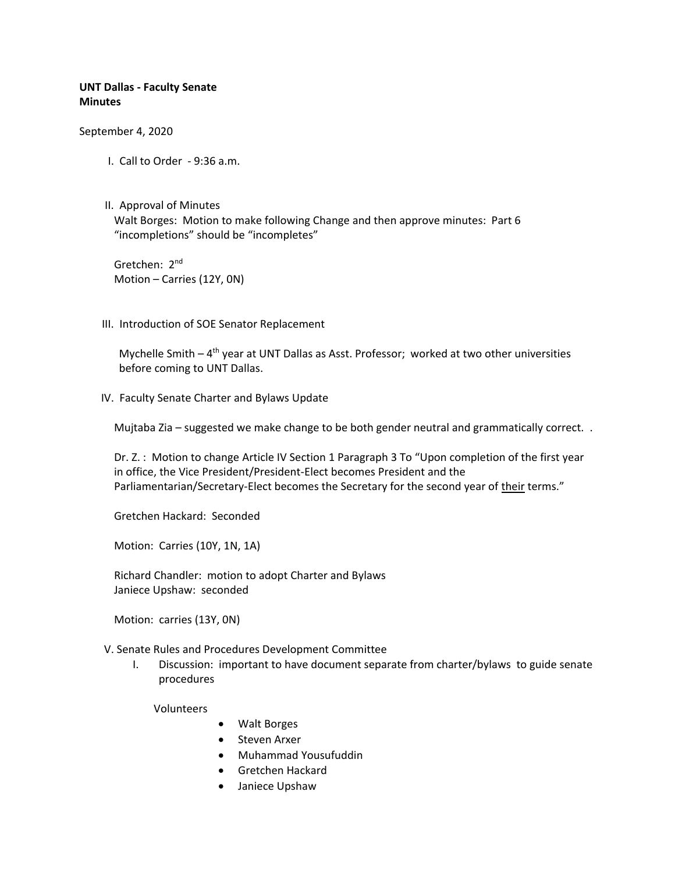# **UNT Dallas - Faculty Senate Minutes**

September 4, 2020

- I. Call to Order 9:36 a.m.
- II. Approval of Minutes Walt Borges: Motion to make following Change and then approve minutes: Part 6 "incompletions" should be "incompletes"

Gretchen: 2nd Motion – Carries (12Y, 0N)

III. Introduction of SOE Senator Replacement

Mychelle Smith - 4<sup>th</sup> year at UNT Dallas as Asst. Professor; worked at two other universities before coming to UNT Dallas.

IV. Faculty Senate Charter and Bylaws Update

Mujtaba Zia – suggested we make change to be both gender neutral and grammatically correct. .

Dr. Z. : Motion to change Article IV Section 1 Paragraph 3 To "Upon completion of the first year in office, the Vice President/President-Elect becomes President and the Parliamentarian/Secretary-Elect becomes the Secretary for the second year of their terms."

Gretchen Hackard: Seconded

Motion: Carries (10Y, 1N, 1A)

Richard Chandler: motion to adopt Charter and Bylaws Janiece Upshaw: seconded

Motion: carries (13Y, 0N)

V. Senate Rules and Procedures Development Committee

I. Discussion: important to have document separate from charter/bylaws to guide senate procedures

Volunteers

- Walt Borges
- Steven Arxer
- Muhammad Yousufuddin
- Gretchen Hackard
- Janiece Upshaw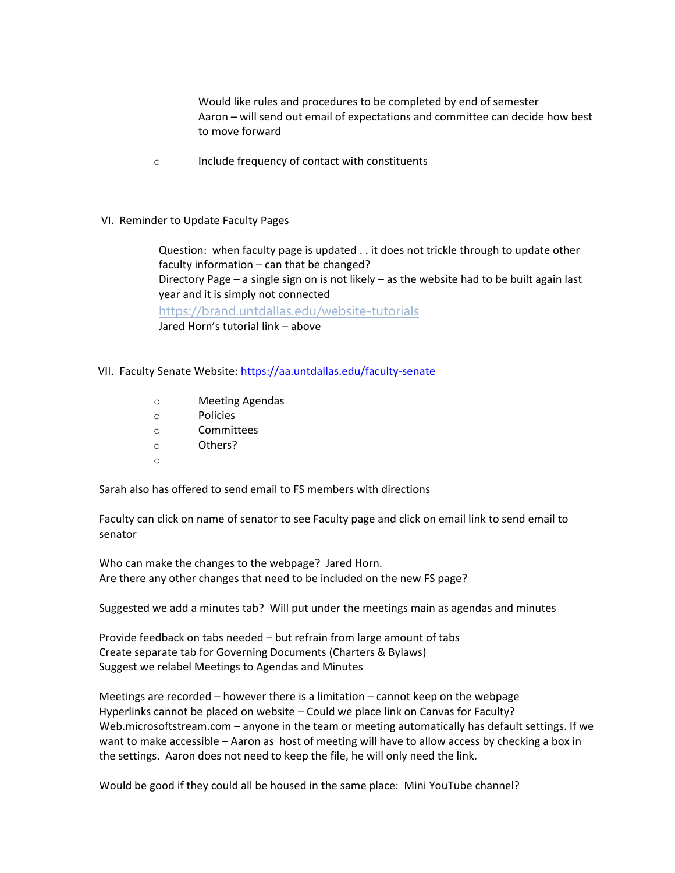Would like rules and procedures to be completed by end of semester Aaron – will send out email of expectations and committee can decide how best to move forward

o Include frequency of contact with constituents

## VI. Reminder to Update Faculty Pages

Question: when faculty page is updated . . it does not trickle through to update other faculty information – can that be changed? Directory Page – a single sign on is not likely – as the website had to be built again last year and it is simply not connected <https://brand.untdallas.edu/website-tutorials> Jared Horn's tutorial link – above

- VII. Faculty Senate Website: <https://aa.untdallas.edu/faculty-senate>
	- o Meeting Agendas
	- o Policies
	- o Committees
	- o Others?
	- o

Sarah also has offered to send email to FS members with directions

Faculty can click on name of senator to see Faculty page and click on email link to send email to senator

Who can make the changes to the webpage? Jared Horn. Are there any other changes that need to be included on the new FS page?

Suggested we add a minutes tab? Will put under the meetings main as agendas and minutes

Provide feedback on tabs needed – but refrain from large amount of tabs Create separate tab for Governing Documents (Charters & Bylaws) Suggest we relabel Meetings to Agendas and Minutes

Meetings are recorded – however there is a limitation – cannot keep on the webpage Hyperlinks cannot be placed on website – Could we place link on Canvas for Faculty? Web.microsoftstream.com – anyone in the team or meeting automatically has default settings. If we want to make accessible – Aaron as host of meeting will have to allow access by checking a box in the settings. Aaron does not need to keep the file, he will only need the link.

Would be good if they could all be housed in the same place: Mini YouTube channel?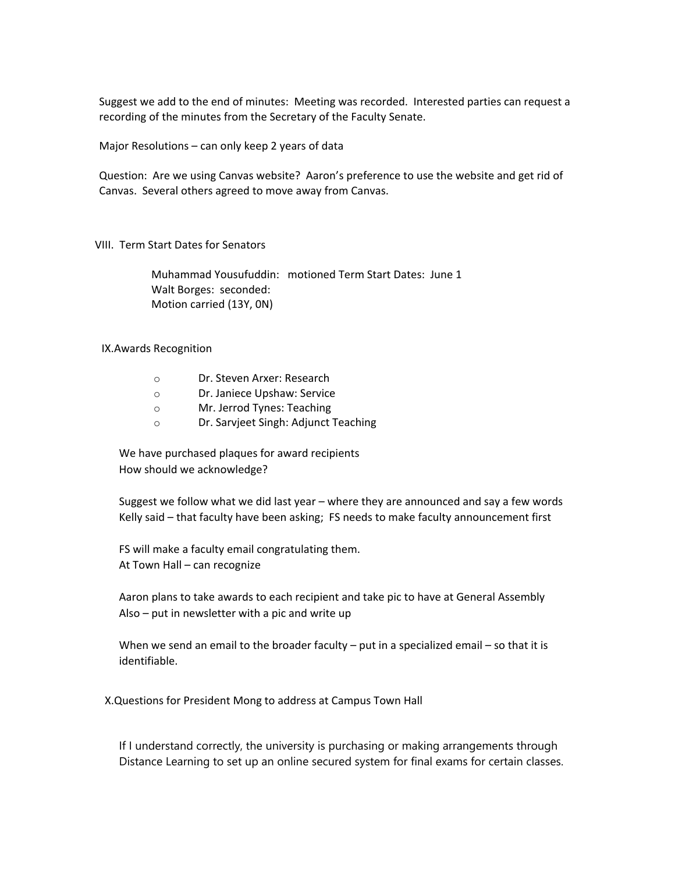Suggest we add to the end of minutes: Meeting was recorded. Interested parties can request a recording of the minutes from the Secretary of the Faculty Senate.

Major Resolutions – can only keep 2 years of data

Question: Are we using Canvas website? Aaron's preference to use the website and get rid of Canvas. Several others agreed to move away from Canvas.

## VIII. Term Start Dates for Senators

Muhammad Yousufuddin: motioned Term Start Dates: June 1 Walt Borges: seconded: Motion carried (13Y, 0N)

## IX.Awards Recognition

| Ω | Dr. Steven Arxer: Research |
|---|----------------------------|
|---|----------------------------|

- o Dr. Janiece Upshaw: Service
- o Mr. Jerrod Tynes: Teaching
- o Dr. Sarvjeet Singh: Adjunct Teaching

We have purchased plaques for award recipients How should we acknowledge?

Suggest we follow what we did last year – where they are announced and say a few words Kelly said – that faculty have been asking; FS needs to make faculty announcement first

FS will make a faculty email congratulating them. At Town Hall – can recognize

Aaron plans to take awards to each recipient and take pic to have at General Assembly Also – put in newsletter with a pic and write up

When we send an email to the broader faculty  $-$  put in a specialized email  $-$  so that it is identifiable.

X.Questions for President Mong to address at Campus Town Hall

If I understand correctly, the university is purchasing or making arrangements through Distance Learning to set up an online secured system for final exams for certain classes.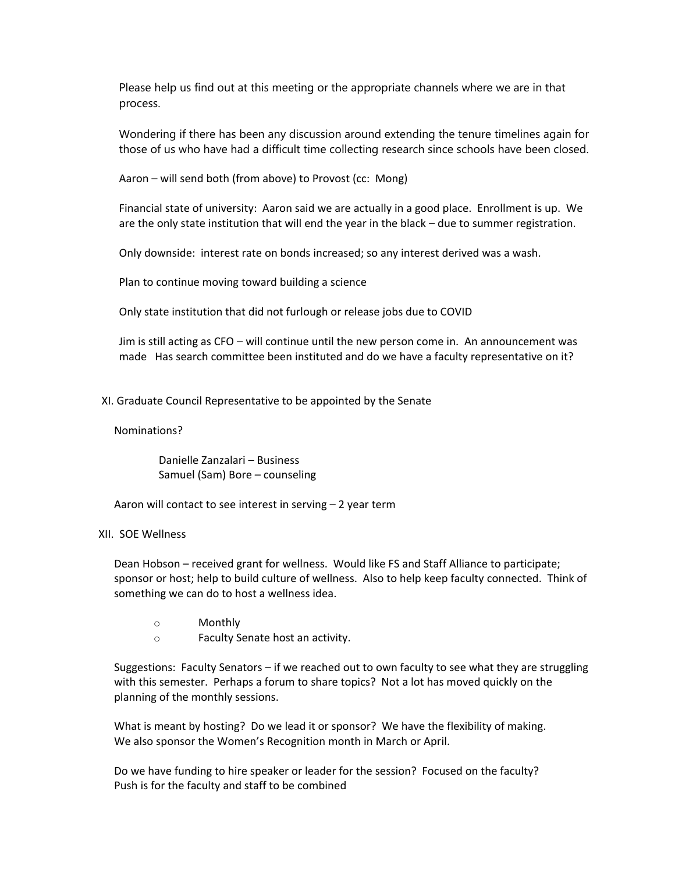Please help us find out at this meeting or the appropriate channels where we are in that process.

Wondering if there has been any discussion around extending the tenure timelines again for those of us who have had a difficult time collecting research since schools have been closed.

Aaron – will send both (from above) to Provost (cc: Mong)

Financial state of university: Aaron said we are actually in a good place. Enrollment is up. We are the only state institution that will end the year in the black – due to summer registration.

Only downside: interest rate on bonds increased; so any interest derived was a wash.

Plan to continue moving toward building a science

Only state institution that did not furlough or release jobs due to COVID

Jim is still acting as CFO – will continue until the new person come in. An announcement was made Has search committee been instituted and do we have a faculty representative on it?

#### XI. Graduate Council Representative to be appointed by the Senate

#### Nominations?

Danielle Zanzalari – Business Samuel (Sam) Bore – counseling

Aaron will contact to see interest in serving – 2 year term

## XII. SOE Wellness

Dean Hobson – received grant for wellness. Would like FS and Staff Alliance to participate; sponsor or host; help to build culture of wellness. Also to help keep faculty connected. Think of something we can do to host a wellness idea.

- o Monthly
- o Faculty Senate host an activity.

Suggestions: Faculty Senators – if we reached out to own faculty to see what they are struggling with this semester. Perhaps a forum to share topics? Not a lot has moved quickly on the planning of the monthly sessions.

What is meant by hosting? Do we lead it or sponsor? We have the flexibility of making. We also sponsor the Women's Recognition month in March or April.

Do we have funding to hire speaker or leader for the session? Focused on the faculty? Push is for the faculty and staff to be combined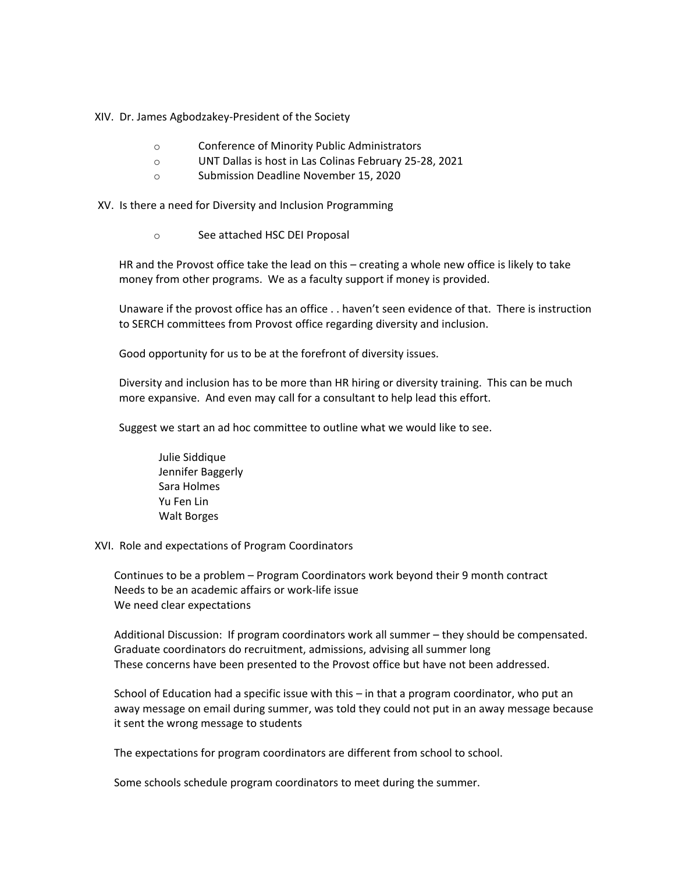XIV. Dr. James Agbodzakey-President of the Society

- o Conference of Minority Public Administrators
- o UNT Dallas is host in Las Colinas February 25-28, 2021
- o Submission Deadline November 15, 2020

XV. Is there a need for Diversity and Inclusion Programming

o See attached HSC DEI Proposal

HR and the Provost office take the lead on this – creating a whole new office is likely to take money from other programs. We as a faculty support if money is provided.

Unaware if the provost office has an office . . haven't seen evidence of that. There is instruction to SERCH committees from Provost office regarding diversity and inclusion.

Good opportunity for us to be at the forefront of diversity issues.

Diversity and inclusion has to be more than HR hiring or diversity training. This can be much more expansive. And even may call for a consultant to help lead this effort.

Suggest we start an ad hoc committee to outline what we would like to see.

Julie Siddique Jennifer Baggerly Sara Holmes Yu Fen Lin Walt Borges

XVI. Role and expectations of Program Coordinators

Continues to be a problem – Program Coordinators work beyond their 9 month contract Needs to be an academic affairs or work-life issue We need clear expectations

Additional Discussion: If program coordinators work all summer – they should be compensated. Graduate coordinators do recruitment, admissions, advising all summer long These concerns have been presented to the Provost office but have not been addressed.

School of Education had a specific issue with this – in that a program coordinator, who put an away message on email during summer, was told they could not put in an away message because it sent the wrong message to students

The expectations for program coordinators are different from school to school.

Some schools schedule program coordinators to meet during the summer.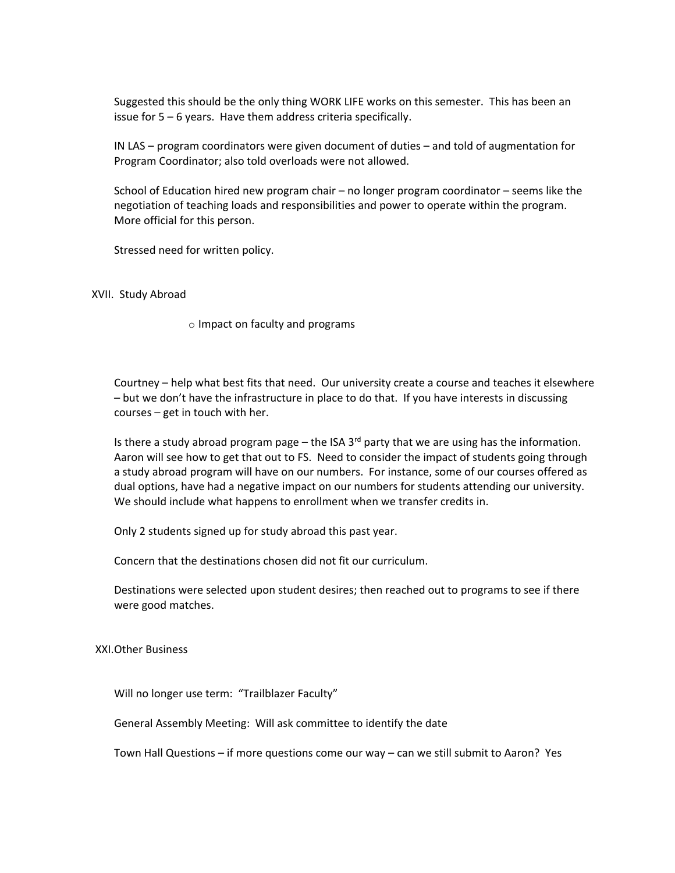Suggested this should be the only thing WORK LIFE works on this semester. This has been an issue for 5 – 6 years. Have them address criteria specifically.

IN LAS – program coordinators were given document of duties – and told of augmentation for Program Coordinator; also told overloads were not allowed.

School of Education hired new program chair – no longer program coordinator – seems like the negotiation of teaching loads and responsibilities and power to operate within the program. More official for this person.

Stressed need for written policy.

XVII. Study Abroad

o Impact on faculty and programs

Courtney – help what best fits that need. Our university create a course and teaches it elsewhere – but we don't have the infrastructure in place to do that. If you have interests in discussing courses – get in touch with her.

Is there a study abroad program page – the ISA  $3<sup>rd</sup>$  party that we are using has the information. Aaron will see how to get that out to FS. Need to consider the impact of students going through a study abroad program will have on our numbers. For instance, some of our courses offered as dual options, have had a negative impact on our numbers for students attending our university. We should include what happens to enrollment when we transfer credits in.

Only 2 students signed up for study abroad this past year.

Concern that the destinations chosen did not fit our curriculum.

Destinations were selected upon student desires; then reached out to programs to see if there were good matches.

XXI.Other Business

Will no longer use term: "Trailblazer Faculty"

General Assembly Meeting: Will ask committee to identify the date

Town Hall Questions – if more questions come our way – can we still submit to Aaron? Yes